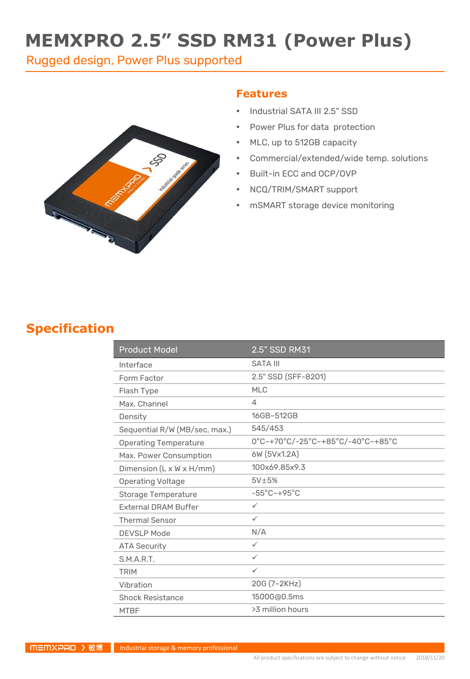# **MEMXPRO 2.5" SSD RM31 (Power Plus)**

Rugged design, Power Plus supported



#### **Features**

- Industrial SATA III 2.5" SSD
- Power Plus for data protection
- MLC, up to 512GB capacity
- Commercial/extended/wide temp. solutions
- Built-in ECC and OCP/OVP
- NCQ/TRIM/SMART support
- mSMART storage device monitoring

#### **Specification**

| <b>Product Model</b>          | 2.5" SSD RM31                     |
|-------------------------------|-----------------------------------|
| Interface                     | <b>SATA III</b>                   |
| Form Factor                   | 2.5" SSD (SFF-8201)               |
| Flash Type                    | <b>MLC</b>                        |
| Max. Channel                  | 4                                 |
| Density                       | 16GB~512GB                        |
| Sequential R/W (MB/sec, max.) | 545/453                           |
| <b>Operating Temperature</b>  | 0°C~+70°C/-25°C~+85°C/-40°C~+85°C |
| Max. Power Consumption        | 6W (5Vx1.2A)                      |
| Dimension (L x W x H/mm)      | 100x69.85x9.3                     |
| <b>Operating Voltage</b>      | $5V\pm5%$                         |
| Storage Temperature           | $-55^{\circ}$ C $-+95^{\circ}$ C  |
| <b>External DRAM Buffer</b>   | $\checkmark$                      |
| <b>Thermal Sensor</b>         | $\checkmark$                      |
| <b>DEVSLP Mode</b>            | N/A                               |
| <b>ATA Security</b>           | $\checkmark$                      |
| S.M.A.R.T.                    | $\checkmark$                      |
| <b>TRIM</b>                   | $\checkmark$                      |
| Vibration                     | 20G (7~2KHz)                      |
| <b>Shock Resistance</b>       | 1500G@0.5ms                       |
| <b>MTBF</b>                   | >3 million hours                  |